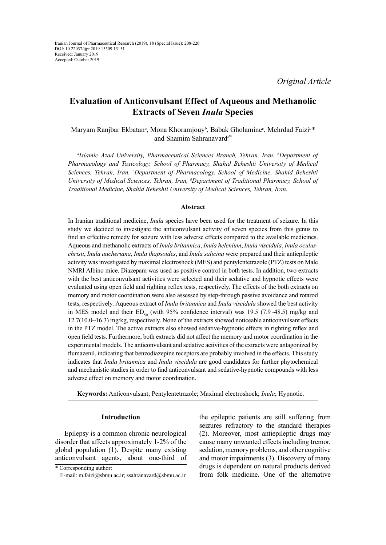*Original Article*

# **Evaluation of Anticonvulsant Effect of Aqueous and Methanolic Extracts of Seven** *Inula* **Species**

Maryam Ranjbar Ekbatan*<sup>a</sup>* , Mona Khoramjouy*<sup>b</sup>* , Babak Gholamine*<sup>c</sup>* , Mehrdad Faizi*<sup>b</sup> \** and Shamim Sahranavard*d\**

*a Islamic Azad University, Pharmaceutical Sciences Branch, Tehran, Iran. b Department of Pharmacology and Toxicology, School of Pharmacy, Shahid Beheshti University of Medical Sciences, Tehran, Iran. c Department of Pharmacology, School of Medicine, Shahid Beheshti University of Medical Sciences, Tehran, Iran, d Department of Traditional Pharmacy, School of Traditional Medicine, Shahid Beheshti University of Medical Sciences, Tehran, Iran.*

# **Abstract**

In Iranian traditional medicine, *Inula* species have been used for the treatment of seizure. In this study we decided to investigate the anticonvulsant activity of seven species from this genus to find an effective remedy for seizure with less adverse effects compared to the available medicines. Aqueous and methanolic extracts of *Inula britannica*, *Inula helenium*, *Inula viscidula*, *Inula oculuschristi*, *Inula aucheriana*, *Inula thapsoides*, and *Inula salicina* were prepared and their antiepileptic activity was investigated by maximal electroshock (MES) and pentylentetrazole (PTZ) tests on Male NMRI Albino mice. Diazepam was used as positive control in both tests. In addition, two extracts with the best anticonvulsant activities were selected and their sedative and hypnotic effects were evaluated using open field and righting reflex tests, respectively. The effects of the both extracts on memory and motor coordination were also assessed by step-through passive avoidance and rotarod tests, respectively. Aqueous extract of *Inula britannica* and *Inula viscidula* showed the best activity in MES model and their  $ED_{50}$  (with 95% confidence interval) was 19.5 (7.9~48.5) mg/kg and 12.7(10.0~16.3) mg/kg, respectively. None of the extracts showed noticeable anticonvulsant effects in the PTZ model. The active extracts also showed sedative-hypnotic effects in righting reflex and open field tests. Furthermore, both extracts did not affect the memory and motor coordination in the experimental models. The anticonvulsant and sedative activities of the extracts were antagonized by flumazenil, indicating that benzodiazepine receptors are probably involved in the effects. This study indicates that *Inula britannica* and *Inula viscidula* are good candidates for further phytochemical and mechanistic studies in order to find anticonvulsant and sedative-hypnotic compounds with less adverse effect on memory and motor coordination.

**Keywords:** Anticonvulsant; Pentylentetrazole; Maximal electroshock; *Inula*; Hypnotic.

# **Introduction**

Epilepsy is a common chronic neurological disorder that affects approximately 1-2% of the global population (1). Despite many existing anticonvulsant agents, about one-third of the epileptic patients are still suffering from seizures refractory to the standard therapies (2). Moreover, most antiepileptic drugs may cause many unwanted effects including tremor, sedation, memory problems, and other cognitive and motor impairments (3). Discovery of many drugs is dependent on natural products derived from folk medicine. One of the alternative

<sup>\*</sup> Corresponding author:

E-mail: m.faizi@sbmu.ac.ir; ssahranavard@sbmu.ac.ir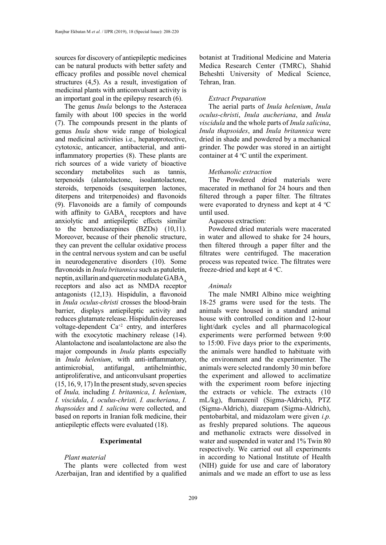sources for discovery of antiepileptic medicines can be natural products with better safety and efficacy profiles and possible novel chemical structures (4,5). As a result, investigation of medicinal plants with anticonvulsant activity is an important goal in the epilepsy research (6).

The genus *Inula* belongs to the Asteracea family with about 100 species in the world (7). The compounds present in the plants of genus *Inula* show wide range of biological and medicinal activities i.e., hepatoprotective, cytotoxic, anticancer, antibacterial, and antiinflammatory properties (8). These plants are rich sources of a wide variety of bioactive secondary metabolites such as tannis, terpenoids (alantolactone, isoalantolactone, steroids, terpenoids (sesquiterpen lactones, diterpens and triterpenoides) and flavonoids (9). Flavonoids are a family of compounds with affinity to  $GABA$ , receptors and have anxiolytic and antiepileptic effects similar to the benzodiazepines (BZDs) (10,11). Moreover, because of their phenolic structure, they can prevent the cellular oxidative process in the central nervous system and can be useful in neurodegenerative disorders (10). Some flavonoids in *Inula britannica* such as patuletin, neptin, axillarin and quercetin modulate  $GABA_A$ receptors and also act as NMDA receptor antagonists (12,13). Hispidulin, a flavonoid in *Inula oculus-christi* crosses the blood-brain barrier, displays antiepileptic activity and reduces glutamate release. Hispidulin decreases voltage-dependent Ca+2 entry, and interferes with the exocytotic machinery release  $(14)$ . Alantolactone and isoalantolactone are also the major compounds in *Inula* plants especially in *Inula helenium*, with anti-inflammatory, antimicrobial, antifungal, antihelminthic, antiproliferative, and anticonvulsant properties (15, 16, 9, 17) In the present study, seven species of *Inula,* including *I. britannica*, *I. helenium*, *I. viscidula*, *I. oculus-christi, I. aucheriana*, *I. thapsoides* and *I. salicina* were collected, and based on reports in Iranian folk medicine, their antiepileptic effects were evaluated (18).

# **Experimental**

#### *Plant material*

The plants were collected from west Azerbaijan, Iran and identified by a qualified

botanist at Traditional Medicine and Materia Medica Research Center (TMRC), Shahid Beheshti University of Medical Science, Tehran, Iran.

## *Extract Preparation*

The aerial parts of *Inula helenium*, *Inula oculus*-*christi*, *Inula aucheriana*, and *Inula viscidula* and the whole parts of *Inula salicina*, *Inula thapsoides*, and *Inula britannica* were dried in shade and powdered by a mechanical grinder. The powder was stored in an airtight container at  $4 \degree C$  until the experiment.

## *Methanolic extraction*

The Powdered dried materials were macerated in methanol for 24 hours and then filtered through a paper filter. The filtrates were evaporated to dryness and kept at  $4 \text{ }^{\circ}\text{C}$ until used.

## Aqueous extraction:

Powdered dried materials were macerated in water and allowed to shake for 24 hours, then filtered through a paper filter and the filtrates were centrifuged. The maceration process was repeated twice. The filtrates were freeze-dried and kept at  $4^{\circ}$ C.

# *Animals*

The male NMRI Albino mice weighting 18-25 grams were used for the tests. The animals were housed in a standard animal house with controlled condition and 12-hour light/dark cycles and all pharmacological experiments were performed between 9:00 to 15:00. Five days prior to the experiments, the animals were handled to habituate with the environment and the experimenter. The animals were selected randomly 30 min before the experiment and allowed to acclimatize with the experiment room before injecting the extracts or vehicle. The extracts (10 mL/kg), flumazenil (Sigma-Aldrich), PTZ (Sigma-Aldrich), diazepam (Sigma-Aldrich), pentobarbital, and midazolam were given *i.p.* as freshly prepared solutions. The aqueous and methanolic extracts were dissolved in water and suspended in water and 1% Twin 80 respectively. We carried out all experiments in according to National Institute of Health (NIH) guide for use and care of laboratory animals and we made an effort to use as less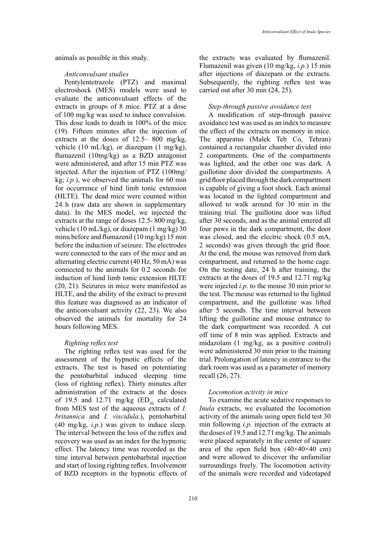animals as possible in this study.

## *Anticonvulsant studies*

Pentylentetrazole (PTZ) and maximal electroshock (MES) models were used to evaluate the anticonvulsant effects of the extracts in groups of 8 mice. PTZ at a dose of 100 mg/kg was used to induce convulsion. This dose leads to death in 100% of the mice (19). Fifteen minutes after the injection of extracts at the doses of 12.5– 800 mg/kg, vehicle (10 mL/kg), or diazepam (1 mg/kg), flumazenil (10mg/kg) as a BZD antagonist were administered, and after 15 min PTZ was injected. After the injection of PTZ (100mg/ kg;  $i.p.$ ), we observed the animals for 60 min for occurrence of hind limb tonic extension (HLTE). The dead mice were counted within 24 h (raw data are shown in supplementary data). In the MES model, we injected the extracts at the range of doses 12.5- 800 mg/kg, vehicle (10 mL/kg), or diazepam (1 mg/kg) 30 minu before and flumazenil (10 mg/kg) 15 min before the induction of seizure. The electrodes were connected to the ears of the mice and an alternating electric current (40 Hz, 50 mA) was connected to the animals for 0.2 seconds for induction of hind limb tonic extension HLTE (20, 21). Seizures in mice were manifested as HLTE, and the ability of the extract to prevent this feature was diagnosed as an indicator of the anticonvulsant activity (22, 23). We also observed the animals for mortality for 24 hours following MES.

## *Righting reflex test*

The righting reflex test was used for the assessment of the hypnotic effects of the extracts. The test is based on potentiating the pentobarbital induced sleeping time (loss of righting reflex). Thirty minutes after administration of the extracts at the doses of 19.5 and 12.71 mg/kg  $(ED<sub>50</sub> \text{ calculated})$ from MES test of the aqueous extracts of *I. britannica* and *I. viscidula*.), pentobarbital (40 mg/kg, *i.p.*) was given to induce sleep. The interval between the loss of the reflex and recovery was used as an index for the hypnotic effect. The latency time was recorded as the time interval between pentobarbital injection and start of losing righting reflex. Involvement of BZD receptors in the hypnotic effects of

the extracts was evaluated by flumazenil. Flumazenil was given (10 mg/kg, *i.p*.) 15 min after injections of diazepam or the extracts. Subsequently, the righting reflex test was carried out after 30 min (24, 25).

## *Step-through passive avoidance test*

A modification of step-through passive avoidance test was used as an index to measure the effect of the extracts on memory in mice. The apparatus (Malek Teb Co, Tehran) contained a rectangular chamber divided into 2 compartments. One of the compartments was lighted, and the other one was dark. A guillotine door divided the compartments. A grid floor placed through the dark compartment is capable of giving a foot shock. Each animal was located in the lighted compartment and allowed to walk around for 30 min in the training trial. The guillotine door was lifted after 30 seconds, and as the animal entered all four paws in the dark compartment, the door was closed, and the electric shock (0.5 mA, 2 seconds) was given through the grid floor. At the end, the mouse was removed from dark compartment, and returned to the home cage. On the testing date, 24 h after training, the extracts at the doses of 19.5 and 12.71 mg/kg were injected *i.p*. to the mouse 30 min prior to the test. The mouse was returned to the lighted compartment, and the guillotine was lifted after 5 seconds. The time interval between lifting the guillotine and mouse entrance to the dark compartment was recorded. A cut off time of 8 min was applied. Extracts and midazolam (1 mg/kg, as a positive control) were administered 30 min prior to the training trial. Prolongation of latency in entrance to the dark room was used as a parameter of memory recall (26, 27).

#### *Locomotion activity in mice*

To examine the acute sedative responses to *Inula* extracts, we evaluated the locomotion activity of the animals using open field test 30 min following *i.p.* injection of the extracts at the doses of 19.5 and 12.71 mg/kg. The animals were placed separately in the center of square area of the open field box  $(40\times40\times40$  cm) and were allowed to discover the unfamiliar surroundings freely. The locomotion activity of the animals were recorded and videotaped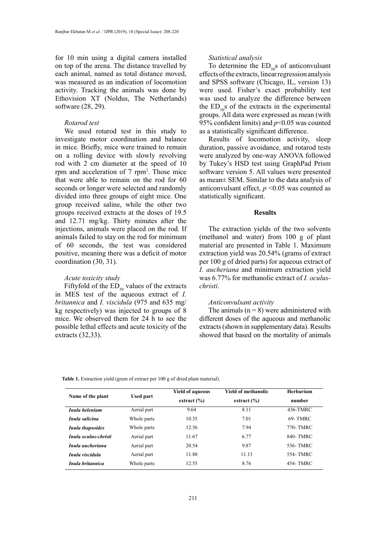for 10 min using a digital camera installed on top of the arena. The distance travelled by each animal, named as total distance moved, was measured as an indication of locomotion activity. Tracking the animals was done by Ethovision XT (Noldus, The Netherlands) software (28, 29).

## *Rotarod test*

We used rotarod test in this study to investigate motor coordination and balance in mice. Briefly, mice were trained to remain on a rolling device with slowly revolving rod with 2 cm diameter at the speed of 10 rpm and acceleration of 7 rpm<sup>2</sup>. Those mice that were able to remain on the rod for 60 seconds or longer were selected and randomly divided into three groups of eight mice. One group received saline, while the other two groups received extracts at the doses of 19.5 and 12.71 mg/kg. Thirty minutes after the injections, animals were placed on the rod. If animals failed to stay on the rod for minimum of 60 seconds, the test was considered positive, meaning there was a deficit of motor coordination (30, 31).

## *Acute toxicity study*

Fiftyfold of the  $ED_{50}$  values of the extracts in MES test of the aqueous extract of *I. britannica* and *I. viscidula* (975 and 635 mg/ kg respectively) was injected to groups of 8 mice. We observed them for 24 h to see the possible lethal effects and acute toxicity of the extracts (32,33).

#### *Statistical analysis*

To determine the  $ED_{50}$ s of anticonvulsant effects of the extracts, linear regression analysis and SPSS software (Chicago, IL, version 13) were used. Fisher's exact probability test was used to analyze the difference between the  $ED_{50}$ s of the extracts in the experimental groups. All data were expressed as mean (with 95% confident limits) and *p*<0.05 was counted as a statistically significant difference.

Results of locomotion activity, sleep duration, passive avoidance, and rotarod tests were analyzed by one-way ANOVA followed by Tukey's HSD test using GraphPad Prism software version 5. All values were presented as mean± SEM. Similar to the data analysis of anticonvulsant effect,  $p \le 0.05$  was counted as statistically significant.

## **Results**

The extraction yields of the two solvents (methanol and water) from 100 g of plant material are presented in Table 1. Maximum extraction yield was 20.54% (grams of extract per 100 g of dried parts) for aqueous extract of *I. aucheriana* and minimum extraction yield was 6.77% for methanolic extract of *I. oculuschristi*.

#### *Anticonvulsant activity*

The animals  $(n = 8)$  were administered with different doses of the aqueous and methanolic extracts (shown in supplementary data). Results showed that based on the mortality of animals

**Table 1.** Extraction yield (gram of extract per 100 g of dried plant material). **Table 1.** Extraction yield (gram of extract per 100 g of dried plant material).

| Name of the plant    | <b>Used part</b> | <b>Yield of aqueous</b><br>extract $(\% )$ | <b>Yield of methanolic</b><br>extract $(\% )$ | <b>Herbarium</b><br>number |
|----------------------|------------------|--------------------------------------------|-----------------------------------------------|----------------------------|
| Inula helenium       | Aerial part      | 9.64                                       | 8.11                                          | 436-TMRC                   |
| Inula salicina       | Whole parts      | 10.35                                      | 7.01                                          | 69- TMRC                   |
| Inula thapsoides     | Whole parts      | 12.56                                      | 7.94                                          | 770- TMRC                  |
| Inula oculus-christi | Aerial part      | 11.67                                      | 6.77                                          | 840- TMRC                  |
| Inula aucheriana     | Aerial part      | 20.54                                      | 9.87                                          | 556- TMRC                  |
| Inula viscidula      | Aerial part      | 11.88                                      | 11.13                                         | 554- TMRC                  |
| Inula britannica     | Whole parts      | 12.55                                      | 8.76                                          | 454- TMRC                  |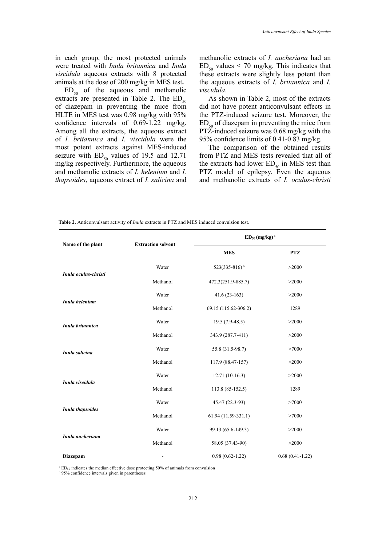in each group, the most protected animals were treated with *Inula britannica* and *Inula viscidula* aqueous extracts with 8 protected animals at the dose of 200 mg/kg in MES test**.**

 $ED_{50}$  of the aqueous and methanolic extracts are presented in Table 2. The  $ED_{50}$ of diazepam in preventing the mice from HLTE in MES test was 0.98 mg/kg with 95% confidence intervals of 0.69-1.22 mg/kg. Among all the extracts, the aqueous extract of *I. britannica* and *I. viscidula* were the most potent extracts against MES-induced seizure with  $ED_{50}$  values of 19.5 and 12.71 mg/kg respectively. Furthermore, the aqueous and methanolic extracts of *I. helenium* and *I. thapsoides*, aqueous extract of *I. salicina* and

methanolic extracts of *I. aucheriana* had an  $ED_{50}$  values < 70 mg/kg. This indicates that these extracts were slightly less potent than the aqueous extracts of *I. britannica* and *I. viscidula*.

As shown in Table 2, most of the extracts did not have potent anticonvulsant effects in the PTZ-induced seizure test. Moreover, the  $ED_{50}$  of diazepam in preventing the mice from PTZ-induced seizure was 0.68 mg/kg with the 95% confidence limits of 0.41-0.83 mg/kg.

The comparison of the obtained results from PTZ and MES tests revealed that all of the extracts had lower  $ED_{50}$  in MES test than PTZ model of epilepsy. Even the aqueous and methanolic extracts of *I. oculus-christi*

**Table 2.** Anticonvulsant activity of *Inula* extracts in PTZ and MES induced convulsion test**. Table 2.** Anticonvulsant activity of *Inula* extracts in PTZ and MES induced convulsion test.

| Name of the plant    | <b>Extraction solvent</b> | $ED_{50}$ (mg/kg) <sup>a</sup> |                   |  |
|----------------------|---------------------------|--------------------------------|-------------------|--|
|                      |                           | <b>MES</b>                     | <b>PTZ</b>        |  |
| Inula oculus-christi | Water                     | $523(335-816)^{b}$             | >2000             |  |
|                      | Methanol                  | 472.3(251.9-885.7)             | >2000             |  |
| Inula helenium       | Water                     | $41.6(23-163)$                 | >2000             |  |
|                      | Methanol                  | 69.15 (115.62-306.2)           | 1289              |  |
| Inula britannica     | Water                     | $19.5(7.9-48.5)$               | >2000             |  |
|                      | Methanol                  | 343.9 (287.7-411)              | >2000             |  |
| Inula salicina       | Water                     | 55.8 (31.5-98.7)               | >7000             |  |
|                      | Methanol                  | 117.9 (88.47-157)              | >2000             |  |
| Inula viscidula      | Water                     | $12.71(10-16.3)$               | >2000             |  |
|                      | Methanol                  | 113.8 (85-152.5)               | 1289              |  |
| Inula thapsoides     | Water                     | 45.47 (22.3-93)                | >7000             |  |
|                      | Methanol                  | 61.94 (11.59-331.1)            | >7000             |  |
| Inula aucheriana     | Water                     | 99.13 (65.6-149.3)             | >2000             |  |
|                      | Methanol                  | 58.05 (37.43-90)               | >2000             |  |
| Diazepam             |                           | $0.98(0.62 - 1.22)$            | $0.68(0.41-1.22)$ |  |

<sup>a</sup> ED<sub>50</sub> indicates the median effective dose protecting 50% of animals from convulsion

**b** 95% confidence intervals given in parentheses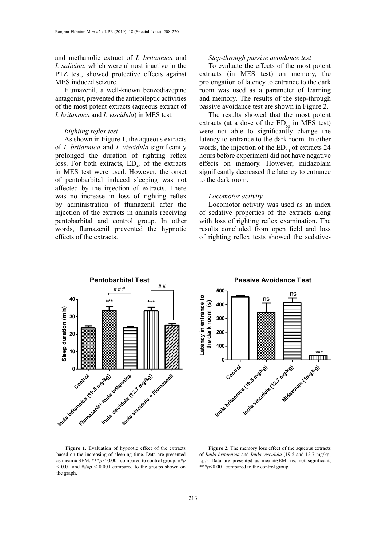and methanolic extract of *I. britannica* and *I. salicina*, which were almost inactive in the PTZ test, showed protective effects against MES induced seizure.

Flumazenil, a well-known benzodiazepine antagonist, prevented the antiepileptic activities of the most potent extracts (aqueous extract of *I. britannica* and *I. viscidula*) in MES test.

# *Righting reflex test*

As shown in Figure 1, the aqueous extracts of *I. britannica* and *I. viscidula* significantly prolonged the duration of righting reflex loss. For both extracts,  $ED_{50}$  of the extracts in MES test were used. However, the onset of pentobarbital induced sleeping was not affected by the injection of extracts. There was no increase in loss of righting reflex by administration of flumazenil after the injection of the extracts in animals receiving pentobarbital and control group. In other words, flumazenil prevented the hypnotic effects of the extracts.

#### *Step-through passive avoidance test*

To evaluate the effects of the most potent extracts (in MES test) on memory, the prolongation of latency to entrance to the dark room was used as a parameter of learning and memory. The results of the step-through passive avoidance test are shown in Figure 2.

The results showed that the most potent extracts (at a dose of the  $ED_{50}$  in MES test) were not able to significantly change the latency to entrance to the dark room. In other words, the injection of the  $ED_{50}$  of extracts 24 hours before experiment did not have negative effects on memory. However, midazolam significantly decreased the latency to entrance to the dark room.

## *Locomotor activity*

**500**

Locomotor activity was used as an index of sedative properties of the extracts along with loss of righting reflex examination. The results concluded from open field and loss of righting reflex tests showed the sedative-

**Passive Avoidance Test**

ns



atency in entrance to **Latency in entrance to** ns the dark room (s)  **the dark room (s) 400 300 200 100** \*\*\* **0** Control a K9.5 mg/kg) a K2.7 mg/kg) am (1mg/kg)

**Figure 1.** Evaluation of hypnotic effect of the extracts **Figure 2.** The memo based on the increasing of sleeping time. Data are presented of *Inula britannica* and *f* as mean  $\pm$  SEM. \*\*\**p* < 0.001 compared to control group; ##*p*  $< 0.01$  and  $\frac{1}{4}$   $\frac{1}{4}$   $\frac{1}{4}$   $< 0.001$  compared to the groups shown on the graph.

Figure 2. The memory loss effect of the aqueous extracts of *Inula britannica* and *Inula viscidula* (19.5 and 12.7 mg/kg, i.p.). Data are presented as mean±SEM. ns: not significant, \*\*\**p*<0.001 compared to the control group.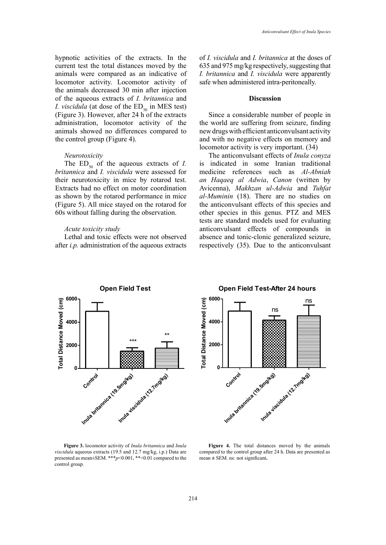hypnotic activities of the extracts. In the current test the total distances moved by the animals were compared as an indicative of locomotor activity. Locomotor activity of the animals decreased 30 min after injection of the aqueous extracts of *I. britannica* and *I. viscidula* (at dose of the  $ED_{50}$  in MES test) (Figure 3). However, after 24 h of the extracts administration, locomotor activity of the animals showed no differences compared to the control group (Figure 4).

## *Neurotoxicity*

The  $ED_{50}$  of the aqueous extracts of *I*. *britannica* and *I. viscidula* were assessed for their neurotoxicity in mice by rotarod test. Extracts had no effect on motor coordination as shown by the rotarod performance in mice (Figure 5). All mice stayed on the rotarod for 60s without falling during the observation.

## *Acute toxicity study*

Lethal and toxic effects were not observed after *i.p.* administration of the aqueous extracts of *I. viscidula* and *I. britannica* at the doses of 635 and 975 mg/kg respectively, suggesting that *I. britannica* and *I. viscidula* were apparently safe when administered intra-peritoneally.

## **Discussion**

Since a considerable number of people in the world are suffering from seizure, finding new drugs with efficient anticonvulsant activity and with no negative effects on memory and locomotor activity is very important. (34)

The anticonvulsant effects of *Inula conyza* is indicated in some Iranian traditional medicine references such as *Al-Abniah an Haqaeq al Adwia*, *Canon* (written by Avicenna), *Makhzan ul-Adwia* and *Tuhfat al-Muminin* (18). There are no studies on the anticonvulsant effects of this species and other species in this genus. PTZ and MES tests are standard models used for evaluating anticonvulsant effects of compounds in absence and tonic-clonic generalized seizure, respectively (35). Due to the anticonvulsant





**Figure 3.** locomotor activity of *Inula britannica* and *Inula* **Figure 3.** locomotor activity of *Inula britannica* and *Inula* Figu viscidula aqueous extracts (19.5 and 12.7 mg/kg, i.p.) Data are compared presented as mean $\pm$ SEM. \*\*\**p*<0.001, \*\*<0.01 compared to the control group. **Figure 4.** The total distances moved by the animals compared to the control group after 24 h. Data are

Figure 4. The total distances moved by the animals compared to the control group after 24 h. Data are presented as mean **±** SEM. ns: not significant**.**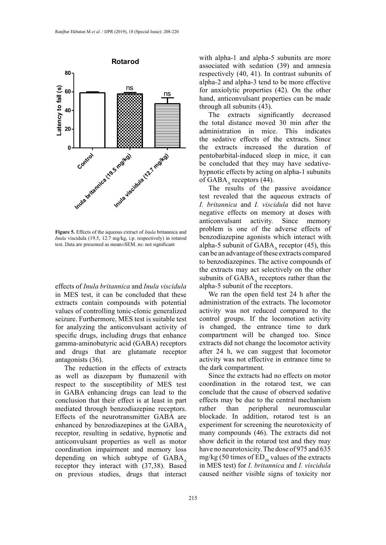

**Figure 5.** Effects of the aqueous extract of *Inula* britannica and **Problem** 18 one of *Inula* viscidula (19.5, 12.7 mg/kg, i.p. respectively) in rotarod test. Data are presented as mean±SEM. ns: not significant

effects of *Inula britannica* and *Inula viscidula* in MES test, it can be concluded that these extracts contain compounds with potential values of controlling tonic-clonic generalized seizure. Furthermore, MES test is suitable test for analyzing the anticonvulsant activity of specific drugs, including drugs that enhance gamma-aminobutyric acid (GABA) receptors and drugs that are glutamate receptor antagonists (36).

The reduction in the effects of extracts as well as diazepam by flumazenil with respect to the susceptibility of MES test in GABA enhancing drugs can lead to the conclusion that their effect is at least in part mediated through benzodiazepine receptors. Effects of the neurotransmitter GABA are enhanced by benzodiazepines at the  $GABA$ , receptor, resulting in sedative, hypnotic and anticonvulsant properties as well as motor coordination impairment and memory loss depending on which subtype of  $GABA_A$ receptor they interact with (37,38). Based on previous studies, drugs that interact with alpha-1 and alpha-5 subunits are more associated with sedation (39) and amnesia respectively (40, 41). In contrast subunits of alpha-2 and alpha-3 tend to be more effective for anxiolytic properties (42). On the other hand, anticonvulsant properties can be made through all subunits (43).

The extracts significantly decreased the total distance moved 30 min after the administration in mice. This indicates the sedative effects of the extracts. Since the extracts increased the duration of pentobarbital-induced sleep in mice, it can be concluded that they may have sedativehypnotic effects by acting on alpha-1 subunits of GABA $_{\text{A}}$  receptors (44).

The results of the passive avoidance test revealed that the aqueous extracts of *I. britannica* and *I. viscidula* did not have negative effects on memory at doses with anticonvulsant activity. Since memory problem is one of the adverse effects of benzodiazepine agonists which interact with alpha-5 subunit of  $GABA$ <sub>s</sub> receptor (45), this can be an advantage of these extracts compared to benzodiazepines. The active compounds of the extracts may act selectively on the other subunits of  $GABA$ , receptors rather than the alpha-5 subunit of the receptors.

We ran the open field test 24 h after the administration of the extracts. The locomotor activity was not reduced compared to the control groups. If the locomotion activity is changed, the entrance time to dark compartment will be changed too. Since extracts did not change the locomotor activity after 24 h, we can suggest that locomotor activity was not effective in entrance time to the dark compartment.

Since the extracts had no effects on motor coordination in the rotarod test, we can conclude that the cause of observed sedative effects may be due to the central mechanism rather than peripheral neuromuscular blockade. In addition, rotarod test is an experiment for screening the neurotoxicity of many compounds (46). The extracts did not show deficit in the rotarod test and they may have no neurotoxicity. The dose of 975 and 635 mg/kg (50 times of  $ED_{50}$  values of the extracts in MES test) for *I. britannica* and *I. viscidula* caused neither visible signs of toxicity nor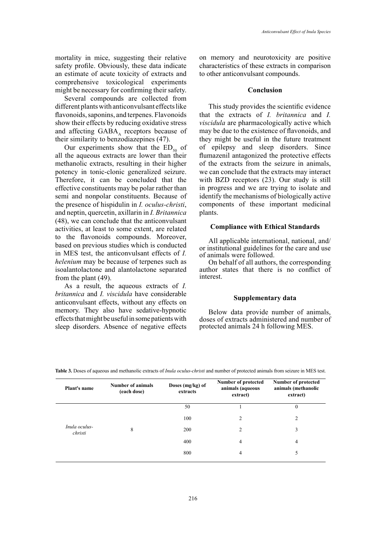mortality in mice, suggesting their relative safety profile. Obviously, these data indicate an estimate of acute toxicity of extracts and comprehensive toxicological experiments might be necessary for confirming their safety.

Several compounds are collected from different plants with anticonvulsant effects like flavonoids, saponins, and terpenes. Flavonoids show their effects by reducing oxidative stress and affecting GABA, receptors because of their similarity to benzodiazepines (47).

Our experiments show that the  $ED_{50}$  of all the aqueous extracts are lower than their methanolic extracts, resulting in their higher potency in tonic-clonic generalized seizure. Therefore, it can be concluded that the effective constituents may be polar rather than semi and nonpolar constituents. Because of the presence of hispidulin in *I. oculus-christi*, and neptin, quercetin, axillarin in *I. Britannica* (48), we can conclude that the anticonvulsant activities, at least to some extent, are related to the flavonoids compounds. Moreover, based on previous studies which is conducted in MES test, the anticonvulsant effects of *I. helenium* may be because of terpenes such as isoalantolactone and alantolactone separated from the plant (49).

As a result, the aqueous extracts of *I. britannica* and *I. viscidula* have considerable anticonvulsant effects, without any effects on memory. They also have sedative-hypnotic effects that might be useful in some patients with sleep disorders. Absence of negative effects

on memory and neurotoxicity are positive characteristics of these extracts in comparison to other anticonvulsant compounds.

## **Conclusion**

This study provides the scientific evidence that the extracts of *I. britannica* and *I. viscidula* are pharmacologically active which may be due to the existence of flavonoids, and they might be useful in the future treatment of epilepsy and sleep disorders. Since flumazenil antagonized the protective effects of the extracts from the seizure in animals, we can conclude that the extracts may interact with BZD receptors (23). Our study is still in progress and we are trying to isolate and identify the mechanisms of biologically active components of these important medicinal plants.

## **Compliance with Ethical Standards**

All applicable international, national, and/ or institutional guidelines for the care and use of animals were followed.

On behalf of all authors, the corresponding author states that there is no conflict of interest.

## **Supplementary data**

Below data provide number of animals, doses of extracts administered and number of protected animals 24 h following MES.

| <b>Plant's name</b>      | <b>Number of animals</b><br>(each dose) | Doses (mg/kg) of<br>extracts | Number of protected<br>animals (aqueous<br>extract) | <b>Number of protected</b><br>animals (methanolic<br>extract) |
|--------------------------|-----------------------------------------|------------------------------|-----------------------------------------------------|---------------------------------------------------------------|
|                          |                                         | 50                           |                                                     | $\boldsymbol{0}$                                              |
|                          | 8                                       | 100                          | $\mathfrak{D}$                                      | $\overline{c}$                                                |
| Inula oculus-<br>christi |                                         | 200                          | $\mathfrak{D}$                                      | 3                                                             |
|                          |                                         | 400                          | 4                                                   | 4                                                             |
|                          |                                         | 800                          | 4                                                   | 5                                                             |

Table 3. Doses of aqueous and methanolic extracts of *Inula oculus-christi* and number of protected animals from seizure in MES test.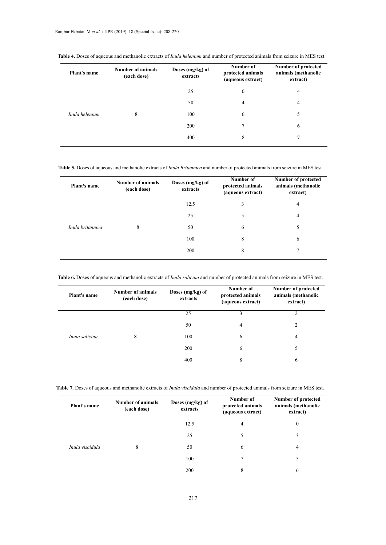| Plant's name   | <b>Number of animals</b><br>(each dose) | Doses (mg/kg) of<br>extracts | Number of<br>protected animals<br>(aqueous extract) | Number of protected<br>animals (methanolic<br>extract) |
|----------------|-----------------------------------------|------------------------------|-----------------------------------------------------|--------------------------------------------------------|
|                |                                         | 25                           | $\theta$                                            | 4                                                      |
| Inula helenium | 8                                       | 50                           | 4                                                   | 4                                                      |
|                |                                         | 100                          | 6                                                   | 5                                                      |
|                |                                         | 200                          | 7                                                   | 6                                                      |
|                |                                         | 400                          | 8                                                   | 7                                                      |

Table 4. Doses of aqueous and methanolic extracts of Inula helenium and number of protected animals from seizure in MES test

Table 5. Doses of aqueous and methanolic extracts of *Inula Britannica* and number of protected animals from seizure in MES test.

| Plant's name     | <b>Number of animals</b><br>(each dose) | Doses (mg/kg) of<br>extracts | Number of<br>protected animals<br>(aqueous extract) | Number of protected<br>animals (methanolic<br>extract) |
|------------------|-----------------------------------------|------------------------------|-----------------------------------------------------|--------------------------------------------------------|
|                  |                                         | 12.5                         | 3                                                   | 4                                                      |
|                  |                                         | 25                           | 5                                                   | $\overline{4}$                                         |
| Inula britannica | 8                                       | 50                           | 6                                                   | 5                                                      |
|                  |                                         | 100                          | 8                                                   | 6                                                      |
|                  |                                         | 200                          | 8                                                   | 7                                                      |

Table 6. Doses of aqueous and methanolic extracts of Inula salicina and number of protected animals from seizure in MES test.

| <b>Plant's name</b> | Number of animals<br>(each dose) | Doses $(mg/kg)$ of<br>extracts | Number of<br>protected animals<br>(aqueous extract) | <b>Number of protected</b><br>animals (methanolic<br>extract) |
|---------------------|----------------------------------|--------------------------------|-----------------------------------------------------|---------------------------------------------------------------|
|                     |                                  | 25                             | 3                                                   | 2                                                             |
|                     |                                  | 50                             | 4                                                   | 2                                                             |
| Inula salicina      | 8                                | 100                            | 6                                                   | 4                                                             |
|                     |                                  | 200                            | 6                                                   | 5                                                             |
|                     |                                  | 400                            | 8                                                   | 6                                                             |

Table 7. Doses of aqueous and methanolic extracts of Inula viscidula and number of protected animals from seizure in MES test.

| <b>Plant's name</b> | <b>Number of animals</b><br>(each dose) | Doses (mg/kg) of<br>extracts | Number of<br>protected animals<br>(aqueous extract) | Number of protected<br>animals (methanolic<br>extract) |
|---------------------|-----------------------------------------|------------------------------|-----------------------------------------------------|--------------------------------------------------------|
|                     |                                         | 12.5                         |                                                     | $\theta$                                               |
|                     |                                         | 25                           | 5                                                   | 3                                                      |
| Inula viscidula     | 8                                       | 50                           | 6                                                   | 4                                                      |
|                     |                                         | 100                          | 7                                                   | 5                                                      |
|                     |                                         | 200                          | 8                                                   | 6                                                      |
|                     |                                         |                              |                                                     |                                                        |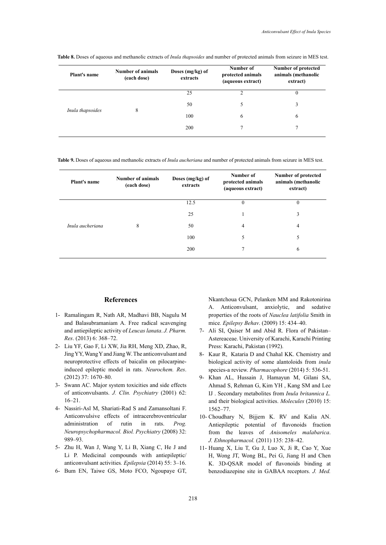| <b>Plant's name</b> | Number of animals<br>(each dose) | Doses (mg/kg) of<br>extracts | Number of<br>protected animals<br>(aqueous extract) | Number of protected<br>animals (methanolic<br>extract) |
|---------------------|----------------------------------|------------------------------|-----------------------------------------------------|--------------------------------------------------------|
|                     |                                  | 25                           | າ                                                   | 0                                                      |
| Inula thapsoides    | 8                                | 50                           | 5                                                   | 3                                                      |
|                     |                                  | 100                          | 6                                                   | 6                                                      |
|                     |                                  | 200                          | 7                                                   |                                                        |

**Table 8.** Doses of aqueous and methanolic extracts of *Inula thapsoides* and number of protected animals from seizure in MES test.

Table 9. Doses of aqueous and methanolic extracts of *Inula aucheriana* and number of protected animals from seizure in MES test.

| <b>Plant's name</b> | Number of animals<br>(each dose) | Doses (mg/kg) of<br>extracts | Number of<br>protected animals<br>(aqueous extract) | <b>Number of protected</b><br>animals (methanolic<br>extract) |
|---------------------|----------------------------------|------------------------------|-----------------------------------------------------|---------------------------------------------------------------|
|                     |                                  | 12.5                         | $\theta$                                            | $\theta$                                                      |
|                     |                                  | 25                           |                                                     | 3                                                             |
| Inula aucheriana    | 8                                | 50                           | 4                                                   | $\overline{4}$                                                |
|                     |                                  | 100                          | 5                                                   | 5                                                             |
|                     |                                  | 200                          | ┑                                                   | 6                                                             |
|                     |                                  |                              |                                                     |                                                               |

# **References**

- 1- Ramalingam R, Nath AR, Madhavi BB, Nagulu M and Balasubramaniam A. Free radical scavenging and antiepileptic activity of *Leucas lanata*. *J. Pharm. Res*. (2013) 6: 368–72.
- 2- Liu YF, Gao F, Li XW, Jia RH, Meng XD, Zhao, R, Jing YY, Wang Y and Jiang W. The anticonvulsant and neuroprotective effects of baicalin on pilocarpineinduced epileptic model in rats. *Neurochem. Res*. (2012) 37: 1670–80.
- 3- Swann AC. Major system toxicities and side effects of anticonvulsants. *J. Clin. Psychiatry* (2001) 62: 16–21.
- 4- Nassiri-Asl M, Shariati-Rad S and Zamansoltani F. Anticonvulsive effects of intracerebroventricular administration of rutin in rats. *Prog. Neuropsychopharmacol. Biol. Psychiatry* (2008) 32: 989–93.
- 5- Zhu H, Wan J, Wang Y, Li B, Xiang C, He J and Li P. Medicinal compounds with antiepileptic/ anticonvulsant activities*. Epilepsia* (2014) 55: 3–16.
- 6- Bum EN, Taiwe GS, Moto FCO, Ngoupaye GT,

Nkantchoua GCN, Pelanken MM and Rakotonirina A. Anticonvulsant, anxiolytic, and sedative properties of the roots of *Nauclea latifolia* Smith in mice*. Epilepsy Behav*. (2009) 15: 434–40.

- 7- Ali SI, Qaiser M and Abid R. Flora of Pakistan– Astereaceae. University of Karachi, Karachi Printing Press: Karachi, Pakistan (1992).
- 8- Kaur R, Kataria D and Chahal KK. Chemistry and biological activity of some alantoloids from *inula* species-a review. *Pharmacophore* (2014) 5: 536-51.
- 9- Khan AL, Hussain J, Hamayun M, Gilani SA, Ahmad S, Rehman G, Kim YH , Kang SM and Lee IJ . Secondary metabolites from *Inula britannica L.* and their biological activities. *Molecules* (2010) 15: 1562–77.
- 10- Choudhary N, Bijjem K. RV and Kalia AN. Antiepileptic potential of flavonoids fraction from the leaves of *Anisomeles malabarica*. *J. Ethnopharmacol.* (2011) 135: 238–42.
- 11- Huang X, Liu T, Gu J, Luo X, Ji R, Cao Y, Xue H, Wong JT, Wong BL, Pei G, Jiang H and Chen K. 3D-QSAR model of flavonoids binding at benzodiazepine site in GABAA receptors. *J. Med.*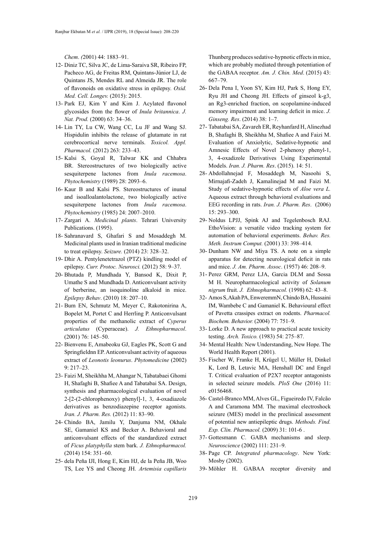*Chem*. *(*2001) 44: 1883–91.

- 12- Diniz TC, Silva JC, de Lima-Saraiva SR, Ribeiro FP, Pacheco AG, de Freitas RM, Quintans-Júnior LJ, de Quintans JS, Mendes RL and Almeida JR. The role of flavonoids on oxidative stress in epilepsy. *Oxid. Med. Cell. Longev.* (2015): 2015.
- 13- Park EJ, Kim Y and Kim J. Acylated flavonol glycosides from the flower of *Inula britannica*. *J. Nat. Prod.* (2000) 63: 34–36.
- 14- Lin TY, Lu CW, Wang CC, Lu JF and Wang SJ. Hispidulin inhibits the release of glutamate in rat cerebrocortical nerve terminals. *Toxicol. Appl. Pharmacol.* (2012) 263: 233–43.
- 15- Kalsi S, Goyal R, Talwar KK and Chhabra BR. Stereostructures of two biologically active sesquiterpene lactones from *Inula racemosa*. *Phytochemistry* (1989) 28: 2093–6.
- 16- Kaur B and Kalsi PS. Stereostructures of inunal and isoalloalantolactone, two biologically active sesquiterpene lactones from *Inula racemosa*. *Phytochemistry* (1985) 24: 2007–2010.
- 17- Zargari A. *Medicinal plants*. Tehrari University Publications. (1995).
- 18- Sahranavard S, Ghafari S and Mosaddegh M. Medicinal plants used in Iranian traditional medicine to treat epilepsy. *Seizure.* (2014) 23: 328–32.
- 19- Dhir A. Pentylenetetrazol (PTZ) kindling model of epilepsy. *[Curr. Protoc. Neurosci.](https://www.ncbi.nlm.nih.gov/pubmed/23042503)* (2012) 58: 9–37.
- 20- Bhutada P, Mundhada Y, Bansod K, Dixit P, Umathe S and Mundhada D. Anticonvulsant activity of berberine, an isoquinoline alkaloid in mice. *Epilepsy Behav*. (2010) 18: 207–10.
- 21- Bum EN, Schmutz M, Meyer C, Rakotonirina A, Bopelet M, Portet C and Herrling P. Anticonvulsant properties of the methanolic extract of *Cyperus articulatus* (Cyperaceae). *J. Ethnopharmacol*. (2001) 76: 145–50.
- 22- Bienvenu E, Amabeoku GJ, Eagles PK, Scott G and Springfieldnn EP. Anticonvulsant activity of aqueous extract of *Leonotis leonurus*. *Phytomedicine* (2002) 9: 217–23.
- 23- Faizi M, Sheikhha M, Ahangar N, Tabatabaei Ghomi H, Shafaghi B, Shafiee A and Tabatabai SA. Design, synthesis and pharmacological evaluation of novel 2-[2-(2-chlorophenoxy) phenyl]-1, 3, 4-oxadiazole derivatives as benzodiazepine receptor agonists. *Iran. J. Pharm. Res.* (2012) 11: 83–90.
- 24- Chindo BA, Jamilu Y, Danjuma NM, Okhale SE, Gamaniel KS and Becker A. Behavioral and anticonvulsant effects of the standardized extract of *Ficus platyphylla* stem bark. *J. Ethnopharmacol.*  (2014) 154: 351–60.
- 25- dela Peña IJI, Hong E, Kim HJ, de la Peña JB, Woo TS, Lee YS and Cheong JH. *Artemisia capillaris*

Thunberg produces sedative-hypnotic effects in mice, which are probably mediated through potentiation of the GABAA receptor. *Am. J. Chin. Med*. (2015) 43: 667–79.

- 26- Dela Pena I, Yoon SY, Kim HJ, Park S, Hong EY, Ryu JH and Cheong JH. Effects of ginseol k-g3, an Rg3-enriched fraction, on scopolamine-induced memory impairment and learning deficit in mice. *J. Ginseng. Res*. (2014) 38: 1–7.
- 27- Tabatabai SA, Zavareh ER, Reyhanfard H, Alinezhad B, Shafaghi B, Sheikhha M, Shafiee A and Faizi M. Evaluation of Anxiolytic, Sedative-hypnotic and Amnesic Effects of Novel 2-phenoxy phenyl-1, 3, 4-oxadizole Derivatives Using Experimental Models. *Iran. J. Pharm. Res*. (2015). 14: 51.
- 28- Abdollahnejad F, Mosaddegh M, Nasoohi S, Mirnajafi-Zadeh J, Kamalinejad M and Faizi M. Study of sedative-hypnotic effects of *Aloe vera L.*  Aqueous extract through behavioral evaluations and EEG recording in rats. *Iran. J. Pharm. Res*. (2006) 15: 293–300.
- 29- Noldus LPJJ, Spink AJ and Tegelenbosch RAJ. EthoVision: a versatile video tracking system for automation of behavioral experiments. *Behav. Res. Meth. Instrum Comput.* (2001) 33: 398–414.
- 30- Dunham NW and Miya TS. A note on a simple apparatus for detecting neurological deficit in rats and mice. *J. Am. Pharm. Assoc*. (1957) 46: 208–9.
- 31- Perez GRM, Perez LJA, Garcia DLM and Sossa M H. Neuropharmacological activity of *Solanum nigrum* fruit. *J. Ethnopharmacol.* (1998) 62: 43–8.
- 32- Amos S, Akah PA, EnweremmN, Chindo BA, Hussaini IM, Wambebe C and Gamaniel K. Behavioural effect of Pavetta crassipes extract on rodents. *Pharmacol. Biochem. Behavior.* (2004) 77: 751–9.
- 33- Lorke D. A new approach to practical acute toxicity testing. *Arch. Toxico.* (1983) 54: 275–87.
- 34- Mental Health: New Understanding, New Hope. The World Health Report (2001).
- 35- Fischer W, Franke H, Krügel U, Müller H, Dinkel K, Lord B, Letavic MA, Henshall DC and Engel T. Critical evaluation of P2X7 receptor antagonists in selected seizure models. *PloS One* (2016) 11: e0156468.
- 36- Castel-Branco MM, Alves GL, Figueiredo IV, Falcão A and Caramona MM. The maximal electroshock seizure (MES) model in the preclinical assessment of potential new antiepileptic drugs. *Methods. Find. Exp. Clin. Pharmacol.* (2009) 31: 101-6 .
- 37- Gottesmann C. GABA mechanisms and sleep. *Neuroscience* (2002) 111: 231–9.
- 38- Page CP. *Integrated pharmacology*. New York: Mosby (2002).
- 39- Möhler H. GABAA receptor diversity and